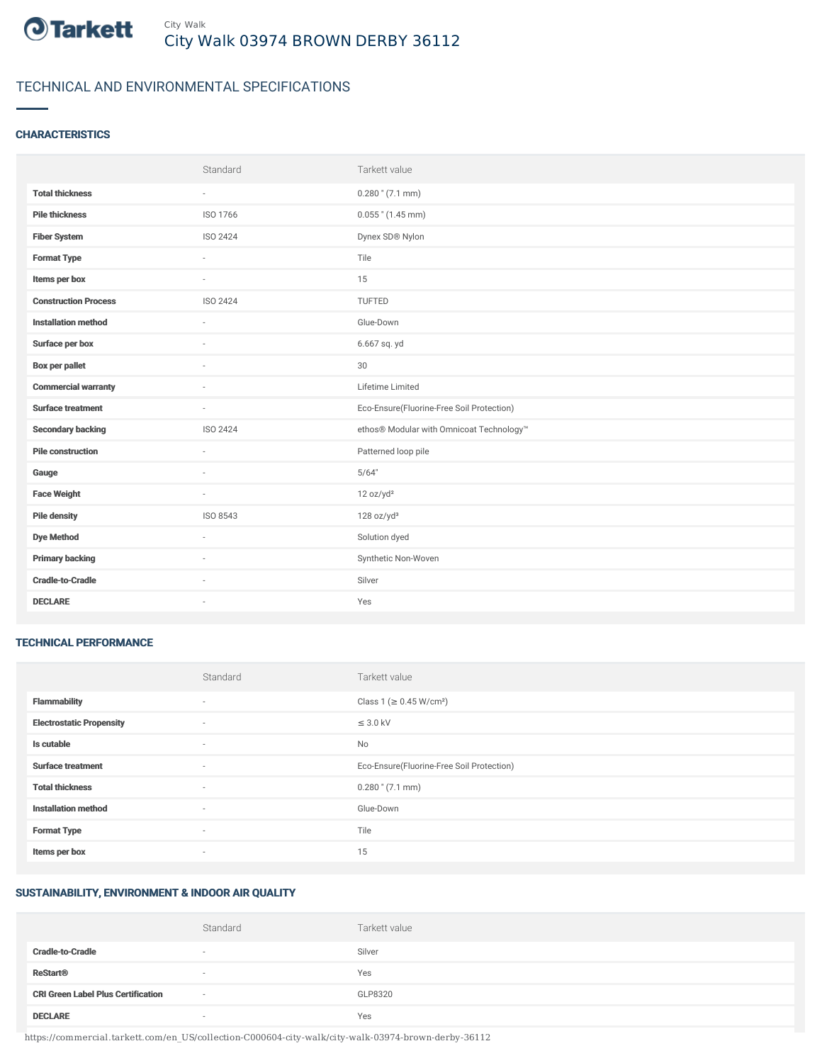

## TECHNICAL AND ENVIRONMENTAL SPECIFICATIONS

### **CHARACTERISTICS**

|                             | Standard | Tarkett value                             |
|-----------------------------|----------|-------------------------------------------|
| <b>Total thickness</b>      | $\sim$   | $0.280$ " (7.1 mm)                        |
| <b>Pile thickness</b>       | ISO 1766 | $0.055$ " (1.45 mm)                       |
| <b>Fiber System</b>         | ISO 2424 | Dynex SD® Nylon                           |
| <b>Format Type</b>          | ٠        | Tile                                      |
| Items per box               | $\sim$   | 15                                        |
| <b>Construction Process</b> | ISO 2424 | TUFTED                                    |
| <b>Installation method</b>  | $\sim$   | Glue-Down                                 |
| Surface per box             | ٠        | 6.667 sq. yd                              |
| <b>Box per pallet</b>       | ×.       | 30                                        |
| <b>Commercial warranty</b>  |          | Lifetime Limited                          |
| <b>Surface treatment</b>    | ×.       | Eco-Ensure(Fluorine-Free Soil Protection) |
| <b>Secondary backing</b>    | ISO 2424 | ethos® Modular with Omnicoat Technology™  |
| <b>Pile construction</b>    | $\sim$   | Patterned loop pile                       |
| Gauge                       |          | 5/64"                                     |
| <b>Face Weight</b>          | $\sim$   | 12 oz/yd <sup>2</sup>                     |
| <b>Pile density</b>         | ISO 8543 | 128 oz/yd <sup>3</sup>                    |
| <b>Dye Method</b>           | ×.       | Solution dyed                             |
| <b>Primary backing</b>      | ٠        | Synthetic Non-Woven                       |
| <b>Cradle-to-Cradle</b>     | ×.       | Silver                                    |
| <b>DECLARE</b>              | ٠        | Yes                                       |

#### TECHNICAL PERFORMANCE

|                                 | Standard                 | Tarkett value                             |
|---------------------------------|--------------------------|-------------------------------------------|
| <b>Flammability</b>             | ٠                        | Class 1 (≥ 0.45 W/cm <sup>2</sup> )       |
| <b>Electrostatic Propensity</b> | $\sim$                   | $\leq$ 3.0 kV                             |
| Is cutable                      | $\overline{\phantom{a}}$ | No                                        |
| <b>Surface treatment</b>        | $\sim$                   | Eco-Ensure(Fluorine-Free Soil Protection) |
| <b>Total thickness</b>          | $\sim$                   | $0.280$ " (7.1 mm)                        |
| <b>Installation method</b>      | $\sim$                   | Glue-Down                                 |
| <b>Format Type</b>              | $\sim$                   | Tile                                      |
| Items per box                   | ٠                        | 15                                        |

#### SUSTAINABILITY, ENVIRONMENT & INDOOR AIR QUALITY

|                                           | Standard                 | Tarkett value |
|-------------------------------------------|--------------------------|---------------|
| <b>Cradle-to-Cradle</b>                   | $\overline{\phantom{a}}$ | Silver        |
| <b>ReStart<sup>®</sup></b>                | $\sim$                   | Yes           |
| <b>CRI Green Label Plus Certification</b> | $\sim$                   | GLP8320       |
| <b>DECLARE</b>                            | $\overline{\phantom{a}}$ | Yes           |

https://commercial.tarkett.com/en\_US/collection-C000604-city-walk/city-walk-03974-brown-derby-36112